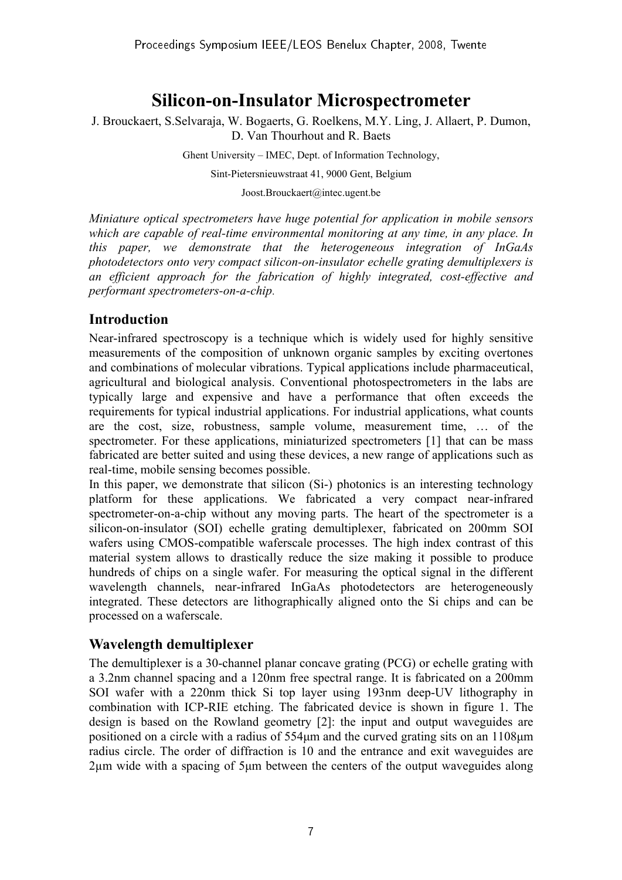# **Silicon-on-Insulator Microspectrometer**

J. Brouckaert, S.Selvaraja, W. Bogaerts, G. Roelkens, M.Y. Ling, J. Allaert, P. Dumon, D. Van Thourhout and R. Baets

Ghent University – IMEC, Dept. of Information Technology,

Sint-Pietersnieuwstraat 41, 9000 Gent, Belgium

Joost.Brouckaert@intec.ugent.be

*Miniature optical spectrometers have huge potential for application in mobile sensors which are capable of real-time environmental monitoring at any time, in any place. In this paper, we demonstrate that the heterogeneous integration of InGaAs photodetectors onto very compact silicon-on-insulator echelle grating demultiplexers is an efficient approach for the fabrication of highly integrated, cost-effective and performant spectrometers-on-a-chip*.

## **Introduction**

Near-infrared spectroscopy is a technique which is widely used for highly sensitive measurements of the composition of unknown organic samples by exciting overtones and combinations of molecular vibrations. Typical applications include pharmaceutical, agricultural and biological analysis. Conventional photospectrometers in the labs are typically large and expensive and have a performance that often exceeds the requirements for typical industrial applications. For industrial applications, what counts are the cost, size, robustness, sample volume, measurement time, … of the spectrometer. For these applications, miniaturized spectrometers [1] that can be mass fabricated are better suited and using these devices, a new range of applications such as real-time, mobile sensing becomes possible.

In this paper, we demonstrate that silicon (Si-) photonics is an interesting technology platform for these applications. We fabricated a very compact near-infrared spectrometer-on-a-chip without any moving parts. The heart of the spectrometer is a silicon-on-insulator (SOI) echelle grating demultiplexer, fabricated on 200mm SOI wafers using CMOS-compatible waferscale processes. The high index contrast of this material system allows to drastically reduce the size making it possible to produce hundreds of chips on a single wafer. For measuring the optical signal in the different wavelength channels, near-infrared InGaAs photodetectors are heterogeneously integrated. These detectors are lithographically aligned onto the Si chips and can be processed on a waferscale.

#### **Wavelength demultiplexer**

The demultiplexer is a 30-channel planar concave grating (PCG) or echelle grating with a 3.2nm channel spacing and a 120nm free spectral range. It is fabricated on a 200mm SOI wafer with a 220nm thick Si top layer using 193nm deep-UV lithography in combination with ICP-RIE etching. The fabricated device is shown in figure 1. The design is based on the Rowland geometry [2]: the input and output waveguides are positioned on a circle with a radius of 554µm and the curved grating sits on an 1108µm radius circle. The order of diffraction is 10 and the entrance and exit waveguides are 2µm wide with a spacing of 5µm between the centers of the output waveguides along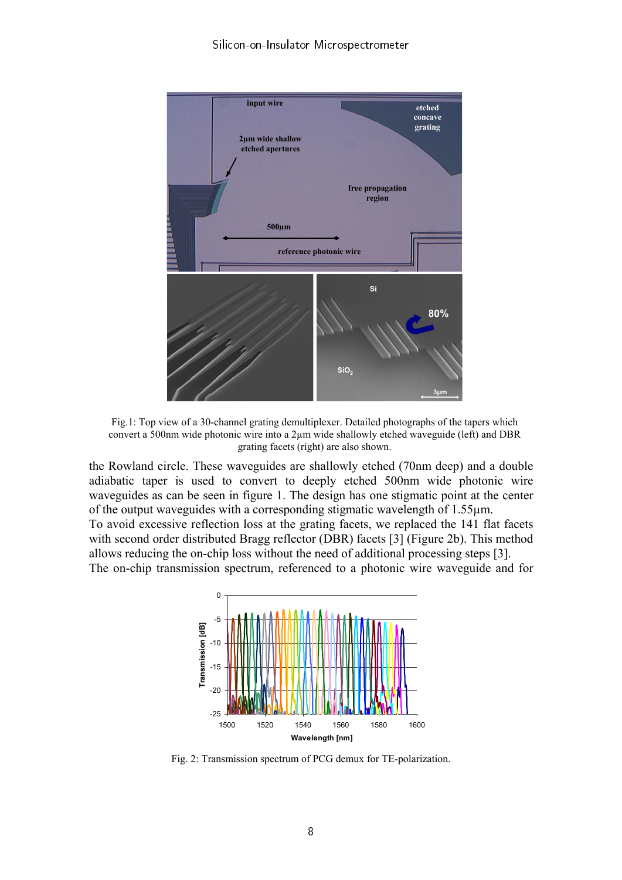

Fig.1: Top view of a 30-channel grating demultiplexer. Detailed photographs of the tapers which convert a 500nm wide photonic wire into a 2µm wide shallowly etched waveguide (left) and DBR grating facets (right) are also shown.

the Rowland circle. These waveguides are shallowly etched (70nm deep) and a double adiabatic taper is used to convert to deeply etched 500nm wide photonic wire waveguides as can be seen in figure 1. The design has one stigmatic point at the center of the output waveguides with a corresponding stigmatic wavelength of 1.55µm. To avoid excessive reflection loss at the grating facets, we replaced the 141 flat facets with second order distributed Bragg reflector (DBR) facets [3] (Figure 2b). This method

allows reducing the on-chip loss without the need of additional processing steps [3]. The on-chip transmission spectrum, referenced to a photonic wire waveguide and for



Fig. 2: Transmission spectrum of PCG demux for TE-polarization.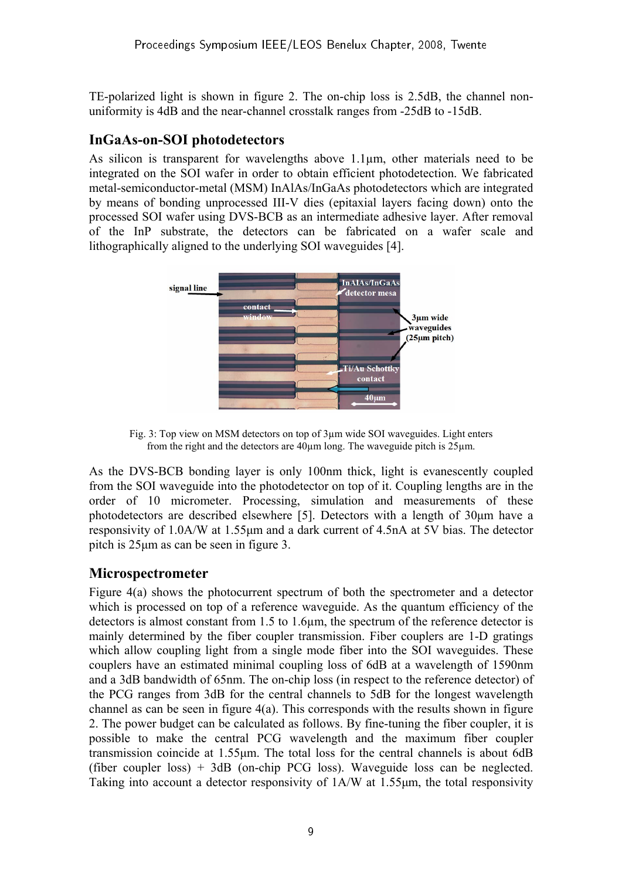TE-polarized light is shown in figure 2. The on-chip loss is 2.5dB, the channel nonuniformity is 4dB and the near-channel crosstalk ranges from -25dB to -15dB.

### **InGaAs-on-SOI photodetectors**

As silicon is transparent for wavelengths above 1.1µm, other materials need to be integrated on the SOI wafer in order to obtain efficient photodetection. We fabricated metal-semiconductor-metal (MSM) InAlAs/InGaAs photodetectors which are integrated by means of bonding unprocessed III-V dies (epitaxial layers facing down) onto the processed SOI wafer using DVS-BCB as an intermediate adhesive layer. After removal of the InP substrate, the detectors can be fabricated on a wafer scale and lithographically aligned to the underlying SOI waveguides [4].



Fig. 3: Top view on MSM detectors on top of 3µm wide SOI waveguides. Light enters from the right and the detectors are 40µm long. The waveguide pitch is 25µm.

As the DVS-BCB bonding layer is only 100nm thick, light is evanescently coupled from the SOI waveguide into the photodetector on top of it. Coupling lengths are in the order of 10 micrometer. Processing, simulation and measurements of these photodetectors are described elsewhere [5]. Detectors with a length of 30µm have a responsivity of 1.0A/W at 1.55µm and a dark current of 4.5nA at 5V bias. The detector pitch is 25µm as can be seen in figure 3.

#### **Microspectrometer**

Figure 4(a) shows the photocurrent spectrum of both the spectrometer and a detector which is processed on top of a reference waveguide. As the quantum efficiency of the detectors is almost constant from 1.5 to 1.6µm, the spectrum of the reference detector is mainly determined by the fiber coupler transmission. Fiber couplers are 1-D gratings which allow coupling light from a single mode fiber into the SOI waveguides. These couplers have an estimated minimal coupling loss of 6dB at a wavelength of 1590nm and a 3dB bandwidth of 65nm. The on-chip loss (in respect to the reference detector) of the PCG ranges from 3dB for the central channels to 5dB for the longest wavelength channel as can be seen in figure 4(a). This corresponds with the results shown in figure 2. The power budget can be calculated as follows. By fine-tuning the fiber coupler, it is possible to make the central PCG wavelength and the maximum fiber coupler transmission coincide at 1.55µm. The total loss for the central channels is about 6dB (fiber coupler loss) + 3dB (on-chip PCG loss). Waveguide loss can be neglected. Taking into account a detector responsivity of 1A/W at 1.55µm, the total responsivity